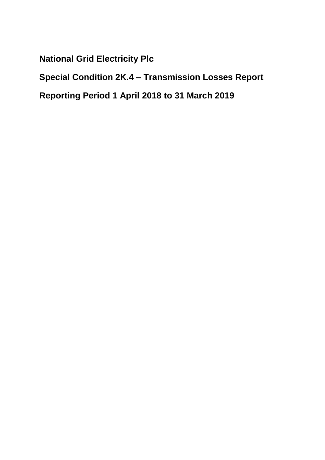**National Grid Electricity Plc** 

**Special Condition 2K.4 – Transmission Losses Report** 

**Reporting Period 1 April 2018 to 31 March 2019**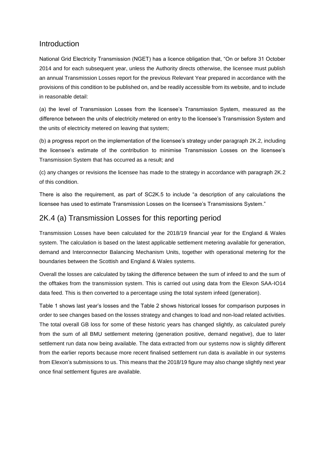## Introduction

National Grid Electricity Transmission (NGET) has a licence obligation that, "On or before 31 October 2014 and for each subsequent year, unless the Authority directs otherwise, the licensee must publish an annual Transmission Losses report for the previous Relevant Year prepared in accordance with the provisions of this condition to be published on, and be readily accessible from its website, and to include in reasonable detail:

(a) the level of Transmission Losses from the licensee's Transmission System, measured as the difference between the units of electricity metered on entry to the licensee's Transmission System and the units of electricity metered on leaving that system;

(b) a progress report on the implementation of the licensee's strategy under paragraph 2K.2, including the licensee's estimate of the contribution to minimise Transmission Losses on the licensee's Transmission System that has occurred as a result; and

(c) any changes or revisions the licensee has made to the strategy in accordance with paragraph 2K.2 of this condition.

There is also the requirement, as part of SC2K.5 to include "a description of any calculations the licensee has used to estimate Transmission Losses on the licensee's Transmissions System."

## 2K.4 (a) Transmission Losses for this reporting period

Transmission Losses have been calculated for the 2018/19 financial year for the England & Wales system. The calculation is based on the latest applicable settlement metering available for generation, demand and Interconnector Balancing Mechanism Units, together with operational metering for the boundaries between the Scottish and England & Wales systems.

Overall the losses are calculated by taking the difference between the sum of infeed to and the sum of the offtakes from the transmission system. This is carried out using data from the Elexon SAA-IO14 data feed. This is then converted to a percentage using the total system infeed (generation).

Table 1 shows last year's losses and the Table 2 shows historical losses for comparison purposes in order to see changes based on the losses strategy and changes to load and non-load related activities. The total overall GB loss for some of these historic years has changed slightly, as calculated purely from the sum of all BMU settlement metering (generation positive, demand negative), due to later settlement run data now being available. The data extracted from our systems now is slightly different from the earlier reports because more recent finalised settlement run data is available in our systems from Elexon's submissions to us. This means that the 2018/19 figure may also change slightly next year once final settlement figures are available.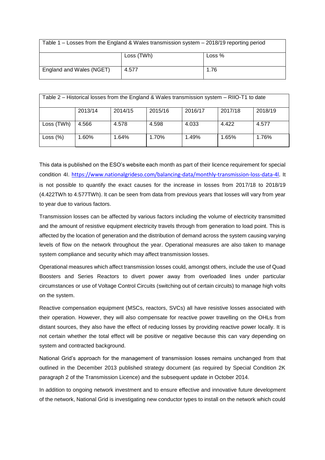| Table 1 – Losses from the England & Wales transmission system – 2018/19 reporting period |            |          |  |  |  |  |
|------------------------------------------------------------------------------------------|------------|----------|--|--|--|--|
|                                                                                          | Loss (TWh) | Loss $%$ |  |  |  |  |
| England and Wales (NGET)                                                                 | 4.577      | 1.76     |  |  |  |  |

| Table 2 – Historical losses from the England & Wales transmission system – RIIO-T1 to date |         |         |         |         |         |         |  |  |
|--------------------------------------------------------------------------------------------|---------|---------|---------|---------|---------|---------|--|--|
|                                                                                            | 2013/14 | 2014/15 | 2015/16 | 2016/17 | 2017/18 | 2018/19 |  |  |
| Loss (TWh)                                                                                 | 4.566   | 4.578   | 4.598   | 4.033   | 4.422   | 4.577   |  |  |
| Loss $(\%)$                                                                                | 1.60%   | 1.64%   | 1.70%   | 1.49%   | 1.65%   | 1.76%   |  |  |

This data is published on the ESO's website each month as part of their licence requirement for special condition 4I. [https://www.nationalgrideso.com/balancing-data/monthly-transmission-loss-data-4l.](https://www.nationalgrideso.com/balancing-data/monthly-transmission-loss-data-4l) It is not possible to quantify the exact causes for the increase in losses from 2017/18 to 2018/19 (4.422TWh to 4.577TWh). It can be seen from data from previous years that losses will vary from year to year due to various factors.

Transmission losses can be affected by various factors including the volume of electricity transmitted and the amount of resistive equipment electricity travels through from generation to load point. This is affected by the location of generation and the distribution of demand across the system causing varying levels of flow on the network throughout the year. Operational measures are also taken to manage system compliance and security which may affect transmission losses.

Operational measures which affect transmission losses could, amongst others, include the use of Quad Boosters and Series Reactors to divert power away from overloaded lines under particular circumstances or use of Voltage Control Circuits (switching out of certain circuits) to manage high volts on the system.

Reactive compensation equipment (MSCs, reactors, SVCs) all have resistive losses associated with their operation. However, they will also compensate for reactive power travelling on the OHLs from distant sources, they also have the effect of reducing losses by providing reactive power locally. It is not certain whether the total effect will be positive or negative because this can vary depending on system and contracted background.

National Grid's approach for the management of transmission losses remains unchanged from that outlined in the December 2013 published strategy document (as required by Special Condition 2K paragraph 2 of the Transmission Licence) and the subsequent update in October 2014.

In addition to ongoing network investment and to ensure effective and innovative future development of the network, National Grid is investigating new conductor types to install on the network which could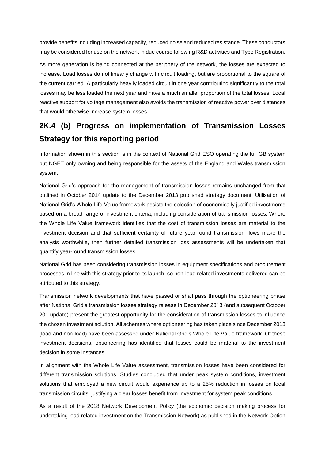provide benefits including increased capacity, reduced noise and reduced resistance. These conductors may be considered for use on the network in due course following R&D activities and Type Registration.

As more generation is being connected at the periphery of the network, the losses are expected to increase. Load losses do not linearly change with circuit loading, but are proportional to the square of the current carried. A particularly heavily loaded circuit in one year contributing significantly to the total losses may be less loaded the next year and have a much smaller proportion of the total losses. Local reactive support for voltage management also avoids the transmission of reactive power over distances that would otherwise increase system losses.

## **2K.4 (b) Progress on implementation of Transmission Losses Strategy for this reporting period**

Information shown in this section is in the context of National Grid ESO operating the full GB system but NGET only owning and being responsible for the assets of the England and Wales transmission system.

National Grid's approach for the management of transmission losses remains unchanged from that outlined in October 2014 update to the December 2013 published strategy document. Utilisation of National Grid's Whole Life Value framework assists the selection of economically justified investments based on a broad range of investment criteria, including consideration of transmission losses. Where the Whole Life Value framework identifies that the cost of transmission losses are material to the investment decision and that sufficient certainty of future year-round transmission flows make the analysis worthwhile, then further detailed transmission loss assessments will be undertaken that quantify year-round transmission losses.

National Grid has been considering transmission losses in equipment specifications and procurement processes in line with this strategy prior to its launch, so non-load related investments delivered can be attributed to this strategy.

Transmission network developments that have passed or shall pass through the optioneering phase after National Grid's transmission losses strategy release in December 2013 (and subsequent October 201 update) present the greatest opportunity for the consideration of transmission losses to influence the chosen investment solution. All schemes where optioneering has taken place since December 2013 (load and non-load) have been assessed under National Grid's Whole Life Value framework. Of these investment decisions, optioneering has identified that losses could be material to the investment decision in some instances.

In alignment with the Whole Life Value assessment, transmission losses have been considered for different transmission solutions. Studies concluded that under peak system conditions, investment solutions that employed a new circuit would experience up to a 25% reduction in losses on local transmission circuits, justifying a clear losses benefit from investment for system peak conditions.

As a result of the 2018 Network Development Policy (the economic decision making process for undertaking load related investment on the Transmission Network) as published in the Network Option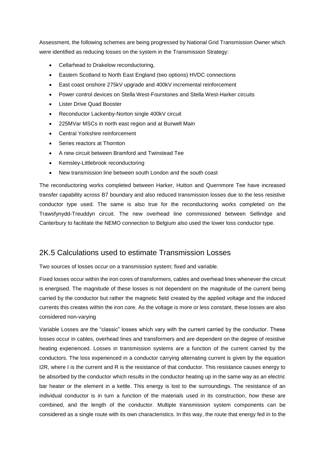Assessment, the following schemes are being progressed by National Grid Transmission Owner which were identified as reducing losses on the system in the Transmission Strategy:

- Cellarhead to Drakelow reconductoring,
- Eastern Scotland to North East England (two options) HVDC connections
- East coast onshore 275kV upgrade and 400kV incremental reinforcement
- Power control devices on Stella West-Fourstones and Stella West-Harker circuits
- **Lister Drive Quad Booster**
- Reconductor Lackenby-Norton single 400kV circuit
- 225MVar MSCs in north east region and at Burwell Main
- Central Yorkshire reinforcement
- Series reactors at Thornton
- A new circuit between Bramford and Twinstead Tee
- Kemsley-Littlebrook reconductoring
- New transmission line between south London and the south coast

The reconductoring works completed between Harker, Hutton and Quernmore Tee have increased transfer capability across B7 boundary and also reduced transmission losses due to the less resistive conductor type used. The same is also true for the reconductoring works completed on the Trawsfynydd-Treuddyn circuit. The new overhead line commissioned between Sellindge and Canterbury to facilitate the NEMO connection to Belgium also used the lower loss conductor type.

## 2K.5 Calculations used to estimate Transmission Losses

Two sources of losses occur on a transmission system; fixed and variable.

Fixed losses occur within the iron cores of transformers, cables and overhead lines whenever the circuit is energised. The magnitude of these losses is not dependent on the magnitude of the current being carried by the conductor but rather the magnetic field created by the applied voltage and the induced currents this creates within the iron core. As the voltage is more or less constant, these losses are also considered non-varying

Variable Losses are the "classic" losses which vary with the current carried by the conductor. These losses occur in cables, overhead lines and transformers and are dependent on the degree of resistive heating experienced. Losses in transmission systems are a function of the current carried by the conductors. The loss experienced in a conductor carrying alternating current is given by the equation I2R, where I is the current and R is the resistance of that conductor. This resistance causes energy to be absorbed by the conductor which results in the conductor heating up in the same way as an electric bar heater or the element in a kettle. This energy is lost to the surroundings. The resistance of an individual conductor is in turn a function of the materials used in its construction, how these are combined, and the length of the conductor. Multiple transmission system components can be considered as a single route with its own characteristics. In this way, the route that energy fed in to the